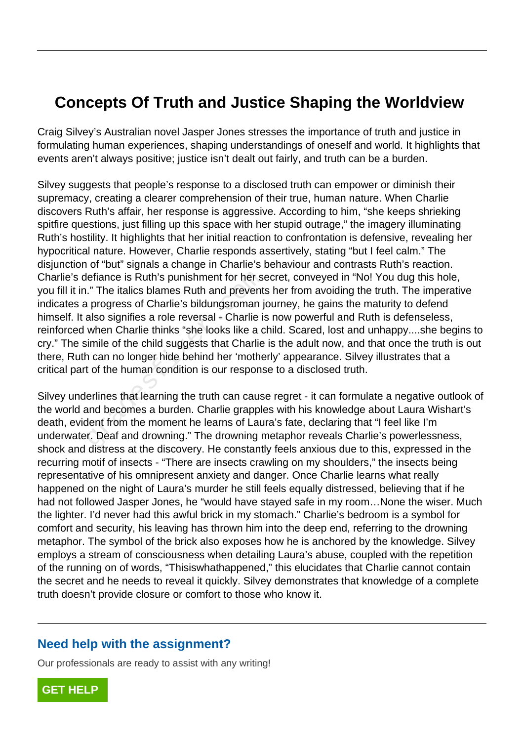## **Concepts Of Truth and Justice Shaping the Worldview**

Craig Silvey's Australian novel Jasper Jones stresses the importance of truth and justice in formulating human experiences, shaping understandings of oneself and world. It highlights that events aren't always positive; justice isn't dealt out fairly, and truth can be a burden.

Silvey suggests that people's response to a disclosed truth can empower or diminish their supremacy, creating a clearer comprehension of their true, human nature. When Charlie discovers Ruth's affair, her response is aggressive. According to him, "she keeps shrieking spitfire questions, just filling up this space with her stupid outrage," the imagery illuminating Ruth's hostility. It highlights that her initial reaction to confrontation is defensive, revealing her hypocritical nature. However, Charlie responds assertively, stating "but I feel calm." The disjunction of "but" signals a change in Charlie's behaviour and contrasts Ruth's reaction. Charlie's defiance is Ruth's punishment for her secret, conveyed in "No! You dug this hole, you fill it in." The italics blames Ruth and prevents her from avoiding the truth. The imperative indicates a progress of Charlie's bildungsroman journey, he gains the maturity to defend himself. It also signifies a role reversal - Charlie is now powerful and Ruth is defenseless, reinforced when Charlie thinks "she looks like a child. Scared, lost and unhappy....she begins to cry." The simile of the child suggests that Charlie is the adult now, and that once the truth is out there, Ruth can no longer hide behind her 'motherly' appearance. Silvey illustrates that a critical part of the human condition is our response to a disclosed truth. lefiance is Ruth's punishment for her secale." The italics blames Ruth and prevents a progress of Charlie's bildungsroman jalso signifies a role reversal - Charlie is when Charlie thinks "she looks like a c simile of the c

Silvey underlines that learning the truth can cause regret - it can formulate a negative outlook of the world and becomes a burden. Charlie grapples with his knowledge about Laura Wishart's death, evident from the moment he learns of Laura's fate, declaring that "I feel like I'm underwater. Deaf and drowning." The drowning metaphor reveals Charlie's powerlessness, shock and distress at the discovery. He constantly feels anxious due to this, expressed in the recurring motif of insects - "There are insects crawling on my shoulders," the insects being representative of his omnipresent anxiety and danger. Once Charlie learns what really happened on the night of Laura's murder he still feels equally distressed, believing that if he had not followed Jasper Jones, he "would have stayed safe in my room…None the wiser. Much the lighter. I'd never had this awful brick in my stomach." Charlie's bedroom is a symbol for comfort and security, his leaving has thrown him into the deep end, referring to the drowning metaphor. The symbol of the brick also exposes how he is anchored by the knowledge. Silvey employs a stream of consciousness when detailing Laura's abuse, coupled with the repetition of the running on of words, "Thisiswhathappened," this elucidates that Charlie cannot contain the secret and he needs to reveal it quickly. Silvey demonstrates that knowledge of a complete truth doesn't provide closure or comfort to those who know it.

## **Need help with the assignment?**

Our professionals are ready to assist with any writing!

**[GET HELP](https://my.gradesfixer.com/order?utm_campaign=pdf_sample)**